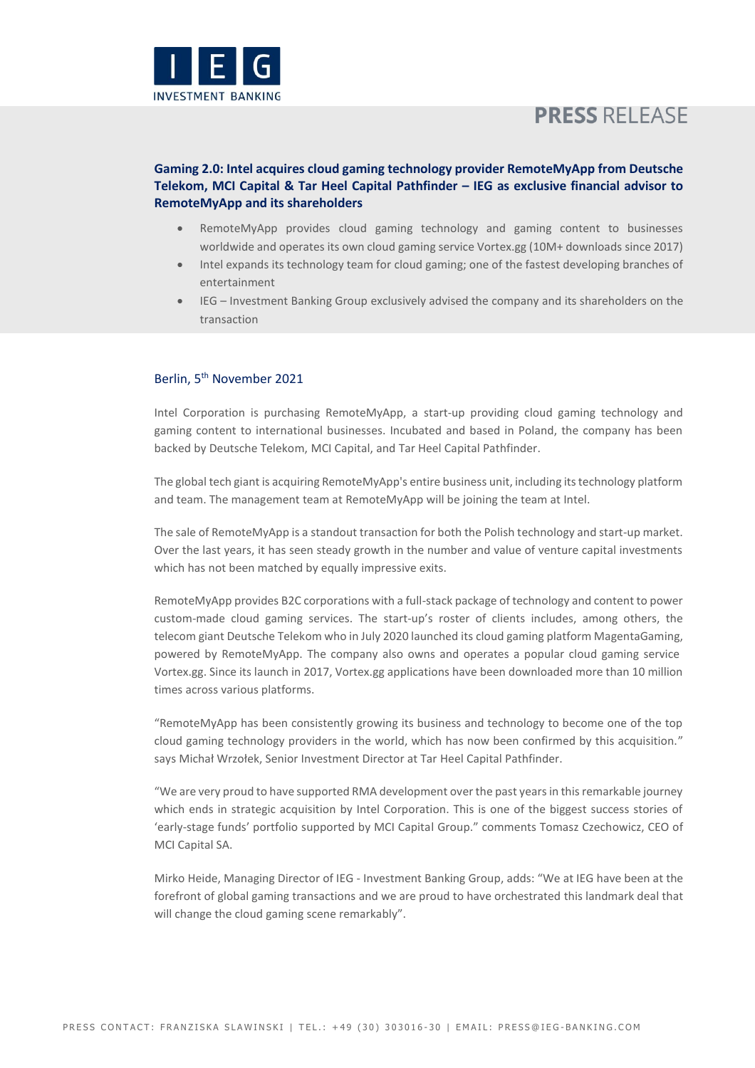

# **PRESS RELEASE**

## **Gaming 2.0: Intel acquires cloud gaming technology provider RemoteMyApp from Deutsche Telekom, MCI Capital & Tar Heel Capital Pathfinder – IEG as exclusive financial advisor to RemoteMyApp and its shareholders**

- RemoteMyApp provides cloud gaming technology and gaming content to businesses worldwide and operates its own cloud gaming service Vortex.gg (10M+ downloads since 2017)
- Intel expands its technology team for cloud gaming; one of the fastest developing branches of entertainment
- IEG Investment Banking Group exclusively advised the company and its shareholders on the transaction

## Berlin, 5<sup>th</sup> November 2021

Intel Corporation is purchasing RemoteMyApp, a start-up providing cloud gaming technology and gaming content to international businesses. Incubated and based in Poland, the company has been backed by Deutsche Telekom, MCI Capital, and Tar Heel Capital Pathfinder.

The global tech giant is acquiring RemoteMyApp's entire business unit, including its technology platform and team. The management team at RemoteMyApp will be joining the team at Intel.

The sale of RemoteMyApp is a standout transaction for both the Polish technology and start-up market. Over the last years, it has seen steady growth in the number and value of venture capital investments which has not been matched by equally impressive exits.

RemoteMyApp provides B2C corporations with a full-stack package of technology and content to power custom-made cloud gaming services. The start-up's roster of clients includes, among others, the telecom giant Deutsche Telekom who in July 2020 launched its cloud gaming platform MagentaGaming, powered by RemoteMyApp. The company also owns and operates a popular cloud gaming service Vortex.gg. Since its launch in 2017, Vortex.gg applications have been downloaded more than 10 million times across various platforms.

"RemoteMyApp has been consistently growing its business and technology to become one of the top cloud gaming technology providers in the world, which has now been confirmed by this acquisition." says Michał Wrzołek, Senior Investment Director at Tar Heel Capital Pathfinder.

"We are very proud to have supported RMA development over the past years in this remarkable journey which ends in strategic acquisition by Intel Corporation. This is one of the biggest success stories of 'early-stage funds' portfolio supported by MCI Capital Group." comments Tomasz Czechowicz, CEO of MCI Capital SA.

Mirko Heide, Managing Director of IEG - Investment Banking Group, adds: "We at IEG have been at the forefront of global gaming transactions and we are proud to have orchestrated this landmark deal that will change the cloud gaming scene remarkably".